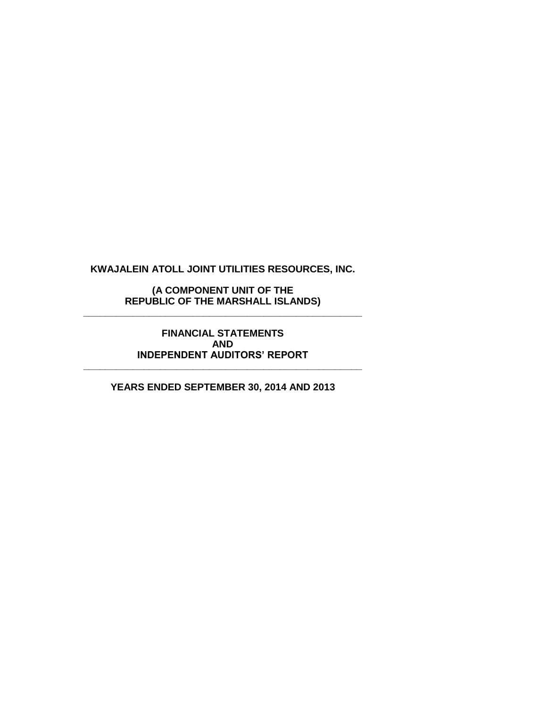**(A COMPONENT UNIT OF THE REPUBLIC OF THE MARSHALL ISLANDS) \_\_\_\_\_\_\_\_\_\_\_\_\_\_\_\_\_\_\_\_\_\_\_\_\_\_\_\_\_\_\_\_\_\_\_\_\_\_\_\_\_\_\_\_\_\_\_\_\_\_\_**

> **FINANCIAL STATEMENTS AND INDEPENDENT AUDITORS' REPORT**

**\_\_\_\_\_\_\_\_\_\_\_\_\_\_\_\_\_\_\_\_\_\_\_\_\_\_\_\_\_\_\_\_\_\_\_\_\_\_\_\_\_\_\_\_\_\_\_\_\_\_\_**

**YEARS ENDED SEPTEMBER 30, 2014 AND 2013**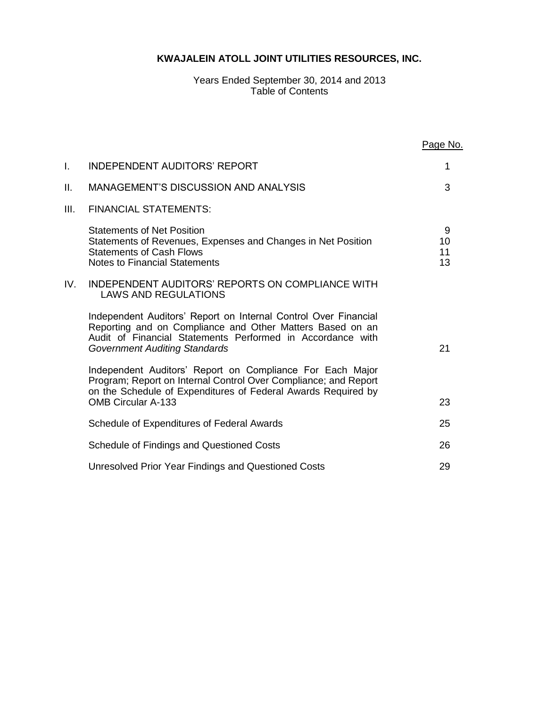#### Years Ended September 30, 2014 and 2013 Table of Contents

|      |                                                                                                                                                                                                                                    | Page No.            |
|------|------------------------------------------------------------------------------------------------------------------------------------------------------------------------------------------------------------------------------------|---------------------|
| I.   | <b>INDEPENDENT AUDITORS' REPORT</b>                                                                                                                                                                                                | 1                   |
| П.   | <b>MANAGEMENT'S DISCUSSION AND ANALYSIS</b>                                                                                                                                                                                        | 3                   |
| III. | <b>FINANCIAL STATEMENTS:</b>                                                                                                                                                                                                       |                     |
|      | <b>Statements of Net Position</b><br>Statements of Revenues, Expenses and Changes in Net Position<br><b>Statements of Cash Flows</b><br><b>Notes to Financial Statements</b>                                                       | 9<br>10<br>11<br>13 |
| IV.  | INDEPENDENT AUDITORS' REPORTS ON COMPLIANCE WITH<br><b>LAWS AND REGULATIONS</b>                                                                                                                                                    |                     |
|      | Independent Auditors' Report on Internal Control Over Financial<br>Reporting and on Compliance and Other Matters Based on an<br>Audit of Financial Statements Performed in Accordance with<br><b>Government Auditing Standards</b> | 21                  |
|      | Independent Auditors' Report on Compliance For Each Major<br>Program; Report on Internal Control Over Compliance; and Report<br>on the Schedule of Expenditures of Federal Awards Required by<br><b>OMB Circular A-133</b>         | 23                  |
|      | Schedule of Expenditures of Federal Awards                                                                                                                                                                                         | 25                  |
|      | Schedule of Findings and Questioned Costs                                                                                                                                                                                          | 26                  |
|      | <b>Unresolved Prior Year Findings and Questioned Costs</b>                                                                                                                                                                         | 29                  |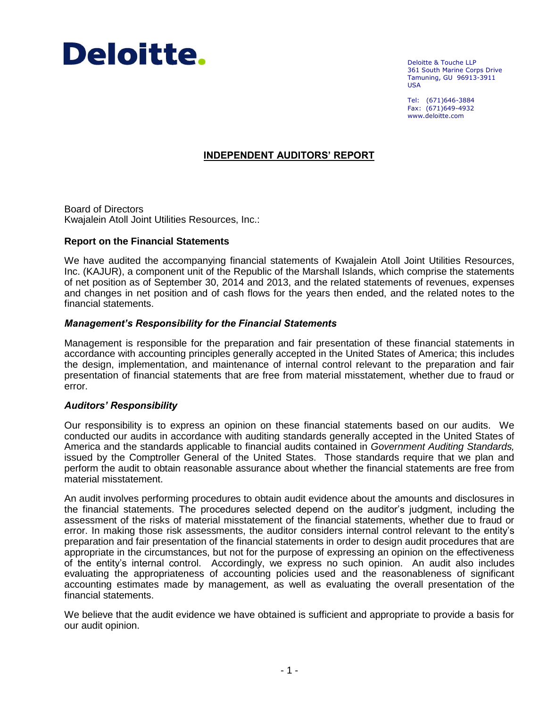

Deloitte & Touche LLP 361 South Marine Corps Drive Tamuning, GU 96913-3911 USA

Tel: (671)646-3884 Fax: (671)649-4932 www.deloitte.com

# **INDEPENDENT AUDITORS' REPORT**

Board of Directors Kwajalein Atoll Joint Utilities Resources, Inc.:

#### **Report on the Financial Statements**

We have audited the accompanying financial statements of Kwajalein Atoll Joint Utilities Resources, Inc. (KAJUR), a component unit of the Republic of the Marshall Islands, which comprise the statements of net position as of September 30, 2014 and 2013, and the related statements of revenues, expenses and changes in net position and of cash flows for the years then ended, and the related notes to the financial statements.

#### *Management's Responsibility for the Financial Statements*

Management is responsible for the preparation and fair presentation of these financial statements in accordance with accounting principles generally accepted in the United States of America; this includes the design, implementation, and maintenance of internal control relevant to the preparation and fair presentation of financial statements that are free from material misstatement, whether due to fraud or error.

### *Auditors' Responsibility*

Our responsibility is to express an opinion on these financial statements based on our audits. We conducted our audits in accordance with auditing standards generally accepted in the United States of America and the standards applicable to financial audits contained in *Government Auditing Standards,* issued by the Comptroller General of the United States. Those standards require that we plan and perform the audit to obtain reasonable assurance about whether the financial statements are free from material misstatement.

An audit involves performing procedures to obtain audit evidence about the amounts and disclosures in the financial statements. The procedures selected depend on the auditor's judgment, including the assessment of the risks of material misstatement of the financial statements, whether due to fraud or error. In making those risk assessments, the auditor considers internal control relevant to the entity's preparation and fair presentation of the financial statements in order to design audit procedures that are appropriate in the circumstances, but not for the purpose of expressing an opinion on the effectiveness of the entity's internal control. Accordingly, we express no such opinion. An audit also includes evaluating the appropriateness of accounting policies used and the reasonableness of significant accounting estimates made by management, as well as evaluating the overall presentation of the financial statements.

We believe that the audit evidence we have obtained is sufficient and appropriate to provide a basis for our audit opinion.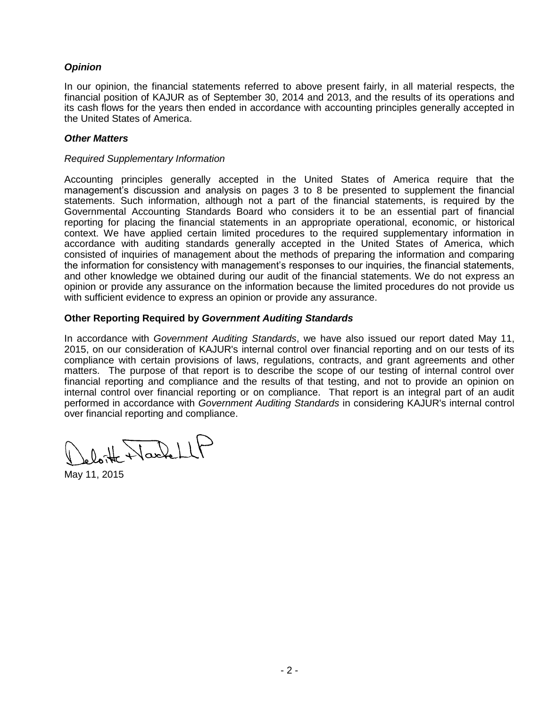# *Opinion*

In our opinion, the financial statements referred to above present fairly, in all material respects, the financial position of KAJUR as of September 30, 2014 and 2013, and the results of its operations and its cash flows for the years then ended in accordance with accounting principles generally accepted in the United States of America.

## *Other Matters*

#### *Required Supplementary Information*

Accounting principles generally accepted in the United States of America require that the management's discussion and analysis on pages 3 to 8 be presented to supplement the financial statements. Such information, although not a part of the financial statements, is required by the Governmental Accounting Standards Board who considers it to be an essential part of financial reporting for placing the financial statements in an appropriate operational, economic, or historical context. We have applied certain limited procedures to the required supplementary information in accordance with auditing standards generally accepted in the United States of America, which consisted of inquiries of management about the methods of preparing the information and comparing the information for consistency with management's responses to our inquiries, the financial statements, and other knowledge we obtained during our audit of the financial statements. We do not express an opinion or provide any assurance on the information because the limited procedures do not provide us with sufficient evidence to express an opinion or provide any assurance.

### **Other Reporting Required by** *Government Auditing Standards*

In accordance with *Government Auditing Standards*, we have also issued our report dated May 11, 2015, on our consideration of KAJUR's internal control over financial reporting and on our tests of its compliance with certain provisions of laws, regulations, contracts, and grant agreements and other matters. The purpose of that report is to describe the scope of our testing of internal control over financial reporting and compliance and the results of that testing, and not to provide an opinion on internal control over financial reporting or on compliance. That report is an integral part of an audit performed in accordance with *Government Auditing Standards* in considering KAJUR's internal control over financial reporting and compliance.

loite Naske LLP

May 11, 2015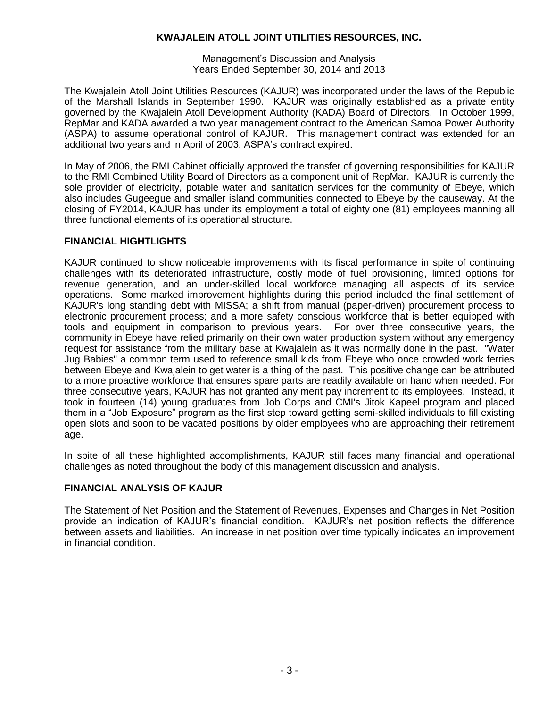Management's Discussion and Analysis Years Ended September 30, 2014 and 2013

The Kwajalein Atoll Joint Utilities Resources (KAJUR) was incorporated under the laws of the Republic of the Marshall Islands in September 1990. KAJUR was originally established as a private entity governed by the Kwajalein Atoll Development Authority (KADA) Board of Directors. In October 1999, RepMar and KADA awarded a two year management contract to the American Samoa Power Authority (ASPA) to assume operational control of KAJUR. This management contract was extended for an additional two years and in April of 2003, ASPA's contract expired.

In May of 2006, the RMI Cabinet officially approved the transfer of governing responsibilities for KAJUR to the RMI Combined Utility Board of Directors as a component unit of RepMar. KAJUR is currently the sole provider of electricity, potable water and sanitation services for the community of Ebeye, which also includes Gugeegue and smaller island communities connected to Ebeye by the causeway. At the closing of FY2014, KAJUR has under its employment a total of eighty one (81) employees manning all three functional elements of its operational structure.

# **FINANCIAL HIGHTLIGHTS**

KAJUR continued to show noticeable improvements with its fiscal performance in spite of continuing challenges with its deteriorated infrastructure, costly mode of fuel provisioning, limited options for revenue generation, and an under-skilled local workforce managing all aspects of its service operations. Some marked improvement highlights during this period included the final settlement of KAJUR's long standing debt with MISSA; a shift from manual (paper-driven) procurement process to electronic procurement process; and a more safety conscious workforce that is better equipped with tools and equipment in comparison to previous years. For over three consecutive years, the community in Ebeye have relied primarily on their own water production system without any emergency request for assistance from the military base at Kwajalein as it was normally done in the past. "Water Jug Babies" a common term used to reference small kids from Ebeye who once crowded work ferries between Ebeye and Kwajalein to get water is a thing of the past. This positive change can be attributed to a more proactive workforce that ensures spare parts are readily available on hand when needed. For three consecutive years, KAJUR has not granted any merit pay increment to its employees. Instead, it took in fourteen (14) young graduates from Job Corps and CMI's Jitok Kapeel program and placed them in a "Job Exposure" program as the first step toward getting semi-skilled individuals to fill existing open slots and soon to be vacated positions by older employees who are approaching their retirement age.

In spite of all these highlighted accomplishments, KAJUR still faces many financial and operational challenges as noted throughout the body of this management discussion and analysis.

# **FINANCIAL ANALYSIS OF KAJUR**

The Statement of Net Position and the Statement of Revenues, Expenses and Changes in Net Position provide an indication of KAJUR's financial condition. KAJUR's net position reflects the difference between assets and liabilities. An increase in net position over time typically indicates an improvement in financial condition.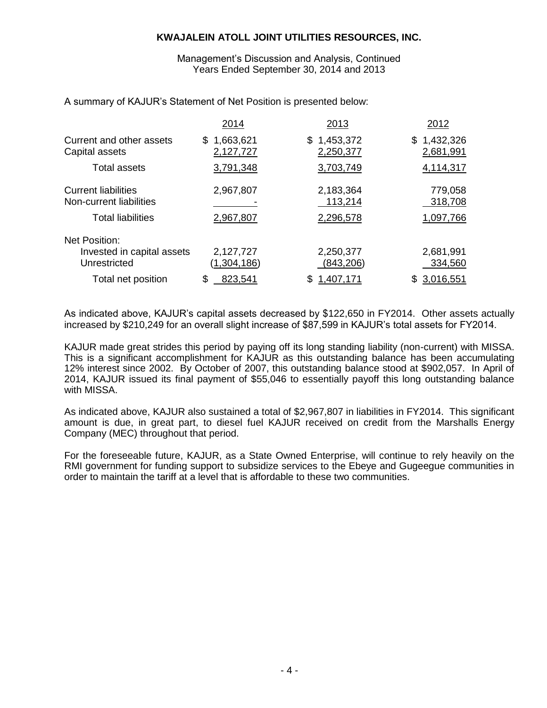Management's Discussion and Analysis, Continued Years Ended September 30, 2014 and 2013

2014 2013 2012 Current and other assets  $$ 1,663,621$   $$ 1,453,372$   $$ 1,432,326$ Capital assets 2,127,727 2,250,377 2,681,991 Total assets 3,791,348 3,703,749 4,114,317 Current liabilities 2,967,807 2,183,364 779,058 Non-current liabilities 113,214 318,708 Total liabilities 2,967,807 2,296,578 1,097,766 Net Position: Invested in capital assets 2,127,727 2,250,377 2,681,991 Unrestricted (1,304,186) (843,206) 334,560 Total net position  $$ 823.541$   $$ 1,407,171$   $$ 3,016,551$ 

A summary of KAJUR's Statement of Net Position is presented below:

As indicated above, KAJUR's capital assets decreased by \$122,650 in FY2014. Other assets actually increased by \$210,249 for an overall slight increase of \$87,599 in KAJUR's total assets for FY2014.

KAJUR made great strides this period by paying off its long standing liability (non-current) with MISSA. This is a significant accomplishment for KAJUR as this outstanding balance has been accumulating 12% interest since 2002. By October of 2007, this outstanding balance stood at \$902,057. In April of 2014, KAJUR issued its final payment of \$55,046 to essentially payoff this long outstanding balance with MISSA.

As indicated above, KAJUR also sustained a total of \$2,967,807 in liabilities in FY2014. This significant amount is due, in great part, to diesel fuel KAJUR received on credit from the Marshalls Energy Company (MEC) throughout that period.

For the foreseeable future, KAJUR, as a State Owned Enterprise, will continue to rely heavily on the RMI government for funding support to subsidize services to the Ebeye and Gugeegue communities in order to maintain the tariff at a level that is affordable to these two communities.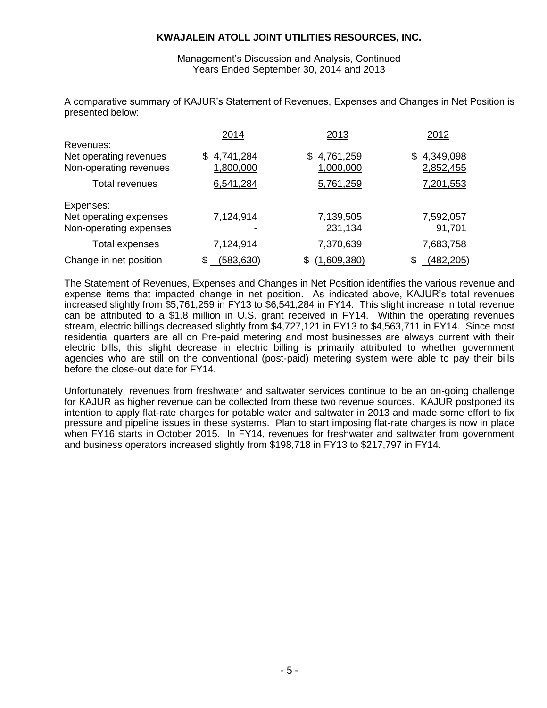Management's Discussion and Analysis, Continued Years Ended September 30, 2014 and 2013

A comparative summary of KAJUR's Statement of Revenues, Expenses and Changes in Net Position is presented below:

|                                                               | 2014                     | 2013                         | 2012                          |
|---------------------------------------------------------------|--------------------------|------------------------------|-------------------------------|
| Revenues:<br>Net operating revenues<br>Non-operating revenues | \$4,741,284<br>1,800,000 | 4,761,259<br>S.<br>1,000,000 | 4,349,098<br>\$.<br>2,852,455 |
| <b>Total revenues</b>                                         | 6,541,284                | 5,761,259                    | 7,201,553                     |
| Expenses:<br>Net operating expenses<br>Non-operating expenses | 7,124,914                | 7,139,505<br>231,134         | 7,592,057<br>91,701           |
| Total expenses                                                | 7,124,914                | 7,370,639                    | <u>7,683,758</u>              |
| Change in net position                                        | <u>(583,630)</u>         | (1,609,380)                  | \$<br>(482, 205)              |

The Statement of Revenues, Expenses and Changes in Net Position identifies the various revenue and expense items that impacted change in net position. As indicated above, KAJUR's total revenues increased slightly from \$5,761,259 in FY13 to \$6,541,284 in FY14. This slight increase in total revenue can be attributed to a \$1.8 million in U.S. grant received in FY14. Within the operating revenues stream, electric billings decreased slightly from \$4,727,121 in FY13 to \$4,563,711 in FY14. Since most residential quarters are all on Pre-paid metering and most businesses are always current with their electric bills, this slight decrease in electric billing is primarily attributed to whether government agencies who are still on the conventional (post-paid) metering system were able to pay their bills before the close-out date for FY14.

Unfortunately, revenues from freshwater and saltwater services continue to be an on-going challenge for KAJUR as higher revenue can be collected from these two revenue sources. KAJUR postponed its intention to apply flat-rate charges for potable water and saltwater in 2013 and made some effort to fix pressure and pipeline issues in these systems. Plan to start imposing flat-rate charges is now in place when FY16 starts in October 2015. In FY14, revenues for freshwater and saltwater from government and business operators increased slightly from \$198,718 in FY13 to \$217,797 in FY14.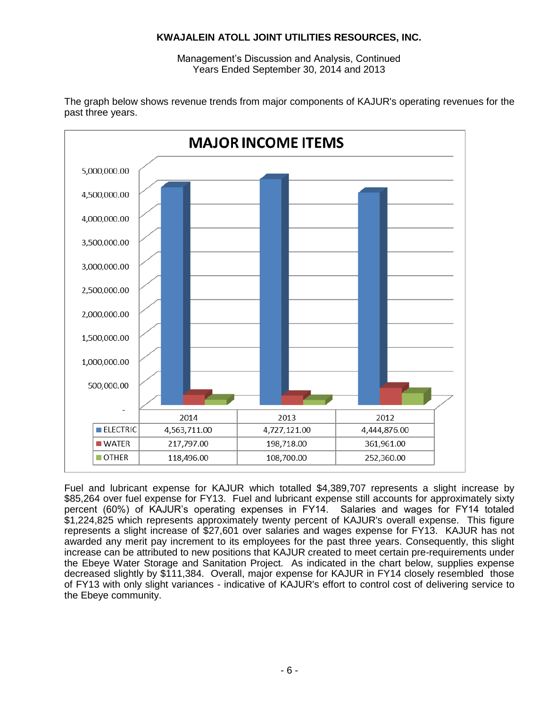Management's Discussion and Analysis, Continued Years Ended September 30, 2014 and 2013



The graph below shows revenue trends from major components of KAJUR's operating revenues for the past three years.

Fuel and lubricant expense for KAJUR which totalled \$4,389,707 represents a slight increase by \$85,264 over fuel expense for FY13. Fuel and lubricant expense still accounts for approximately sixty percent (60%) of KAJUR's operating expenses in FY14. Salaries and wages for FY14 totaled \$1,224,825 which represents approximately twenty percent of KAJUR's overall expense. This figure represents a slight increase of \$27,601 over salaries and wages expense for FY13. KAJUR has not awarded any merit pay increment to its employees for the past three years. Consequently, this slight increase can be attributed to new positions that KAJUR created to meet certain pre-requirements under the Ebeye Water Storage and Sanitation Project. As indicated in the chart below, supplies expense decreased slightly by \$111,384. Overall, major expense for KAJUR in FY14 closely resembled those of FY13 with only slight variances - indicative of KAJUR's effort to control cost of delivering service to the Ebeye community.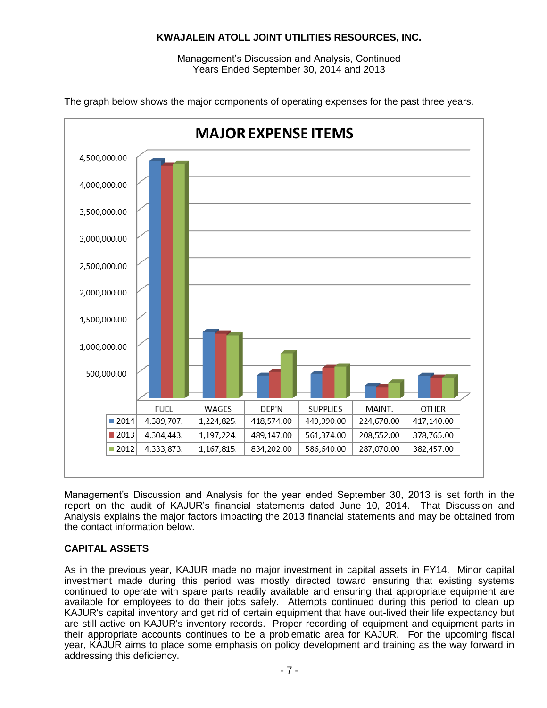Management's Discussion and Analysis, Continued Years Ended September 30, 2014 and 2013



The graph below shows the major components of operating expenses for the past three years.

Management's Discussion and Analysis for the year ended September 30, 2013 is set forth in the report on the audit of KAJUR's financial statements dated June 10, 2014. That Discussion and Analysis explains the major factors impacting the 2013 financial statements and may be obtained from the contact information below.

# **CAPITAL ASSETS**

As in the previous year, KAJUR made no major investment in capital assets in FY14. Minor capital investment made during this period was mostly directed toward ensuring that existing systems continued to operate with spare parts readily available and ensuring that appropriate equipment are available for employees to do their jobs safely. Attempts continued during this period to clean up KAJUR's capital inventory and get rid of certain equipment that have out-lived their life expectancy but are still active on KAJUR's inventory records. Proper recording of equipment and equipment parts in their appropriate accounts continues to be a problematic area for KAJUR. For the upcoming fiscal year, KAJUR aims to place some emphasis on policy development and training as the way forward in addressing this deficiency.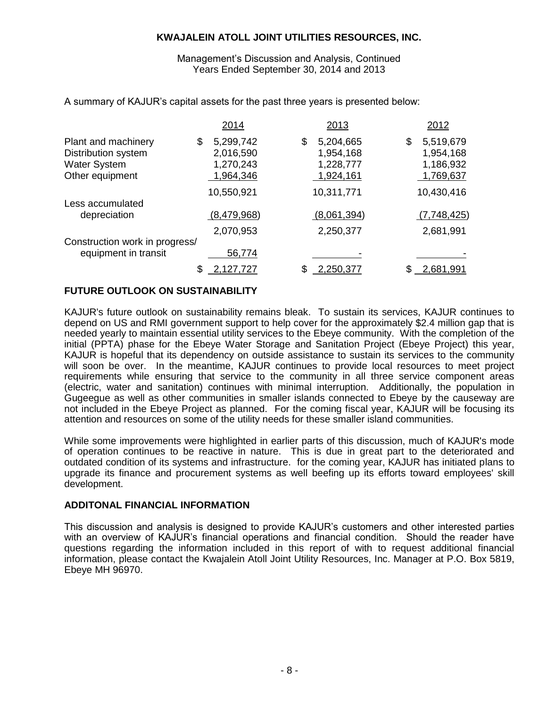Management's Discussion and Analysis, Continued Years Ended September 30, 2014 and 2013

|                                | 2014            | 2013            | 2012             |
|--------------------------------|-----------------|-----------------|------------------|
| Plant and machinery            | 5,299,742<br>\$ | 5,204,665<br>\$ | 5,519,679<br>\$  |
| Distribution system            | 2,016,590       | 1,954,168       | 1,954,168        |
| <b>Water System</b>            | 1,270,243       | 1,228,777       | 1,186,932        |
| Other equipment                | 1,964,346       | 1,924,161       | 1,769,637        |
|                                | 10,550,921      | 10,311,771      | 10,430,416       |
| Less accumulated               |                 |                 |                  |
| depreciation                   | (8,479,968)     | (8,061,394)     | (7,748,425)      |
|                                | 2,070,953       | 2,250,377       | 2,681,991        |
| Construction work in progress/ |                 |                 |                  |
| equipment in transit           | 56,774          |                 |                  |
|                                | 2,127,727       | \$<br>2,250,377 | <u>2,681,991</u> |

A summary of KAJUR's capital assets for the past three years is presented below:

## **FUTURE OUTLOOK ON SUSTAINABILITY**

KAJUR's future outlook on sustainability remains bleak. To sustain its services, KAJUR continues to depend on US and RMI government support to help cover for the approximately \$2.4 million gap that is needed yearly to maintain essential utility services to the Ebeye community. With the completion of the initial (PPTA) phase for the Ebeye Water Storage and Sanitation Project (Ebeye Project) this year, KAJUR is hopeful that its dependency on outside assistance to sustain its services to the community will soon be over. In the meantime, KAJUR continues to provide local resources to meet project requirements while ensuring that service to the community in all three service component areas (electric, water and sanitation) continues with minimal interruption. Additionally, the population in Gugeegue as well as other communities in smaller islands connected to Ebeye by the causeway are not included in the Ebeye Project as planned. For the coming fiscal year, KAJUR will be focusing its attention and resources on some of the utility needs for these smaller island communities.

While some improvements were highlighted in earlier parts of this discussion, much of KAJUR's mode of operation continues to be reactive in nature. This is due in great part to the deteriorated and outdated condition of its systems and infrastructure. for the coming year, KAJUR has initiated plans to upgrade its finance and procurement systems as well beefing up its efforts toward employees' skill development.

## **ADDITONAL FINANCIAL INFORMATION**

This discussion and analysis is designed to provide KAJUR's customers and other interested parties with an overview of KAJUR's financial operations and financial condition. Should the reader have questions regarding the information included in this report of with to request additional financial information, please contact the Kwajalein Atoll Joint Utility Resources, Inc. Manager at P.O. Box 5819, Ebeye MH 96970.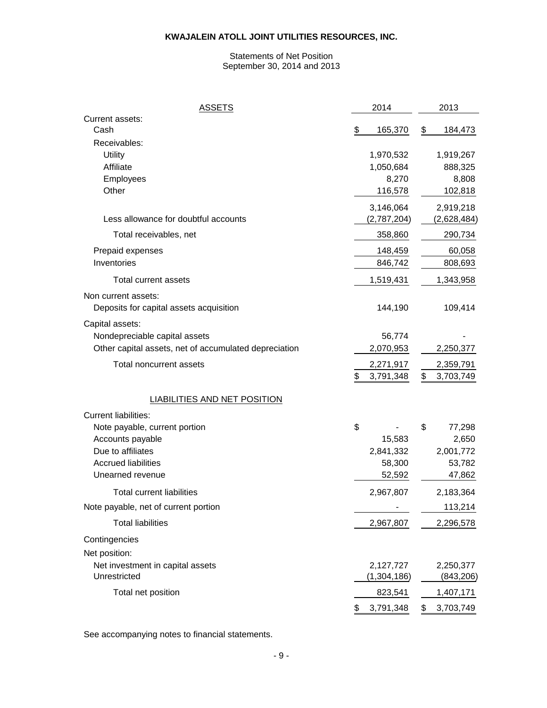#### Statements of Net Position September 30, 2014 and 2013

| <b>ASSETS</b>                                         | 2014            | 2013            |
|-------------------------------------------------------|-----------------|-----------------|
| Current assets:<br>Cash                               | \$<br>165,370   | \$<br>184,473   |
| Receivables:                                          |                 |                 |
| <b>Utility</b>                                        | 1,970,532       | 1,919,267       |
| Affiliate                                             | 1,050,684       | 888,325         |
| Employees                                             | 8,270           | 8,808           |
| Other                                                 | 116,578         | 102,818         |
| Less allowance for doubtful accounts                  | 3,146,064       | 2,919,218       |
|                                                       | (2,787,204)     | (2,628,484)     |
| Total receivables, net                                | 358,860         | 290,734         |
| Prepaid expenses                                      | 148,459         | 60,058          |
| Inventories                                           | 846,742         | 808,693         |
| Total current assets                                  | 1,519,431       | 1,343,958       |
| Non current assets:                                   |                 |                 |
| Deposits for capital assets acquisition               | 144,190         | 109,414         |
| Capital assets:                                       |                 |                 |
| Nondepreciable capital assets                         | 56,774          |                 |
| Other capital assets, net of accumulated depreciation | 2,070,953       | 2,250,377       |
| Total noncurrent assets                               | 2,271,917       | 2,359,791       |
|                                                       | \$<br>3,791,348 | \$<br>3,703,749 |
| <b>LIABILITIES AND NET POSITION</b>                   |                 |                 |
| <b>Current liabilities:</b>                           |                 |                 |
| Note payable, current portion                         | \$              | \$<br>77,298    |
| Accounts payable                                      | 15,583          | 2,650           |
| Due to affiliates                                     | 2,841,332       | 2,001,772       |
| <b>Accrued liabilities</b>                            | 58,300          | 53,782          |
| Unearned revenue                                      | 52,592          | 47,862          |
| <b>Total current liabilities</b>                      | 2,967,807       | 2,183,364       |
| Note payable, net of current portion                  |                 | 113,214         |
| <b>Total liabilities</b>                              | 2,967,807       | 2,296,578       |
| Contingencies                                         |                 |                 |
| Net position:                                         |                 |                 |
| Net investment in capital assets                      | 2,127,727       | 2,250,377       |
| Unrestricted                                          | (1,304,186)     | (843, 206)      |
| Total net position                                    | 823,541         | 1,407,171       |
|                                                       | \$<br>3,791,348 | \$<br>3,703,749 |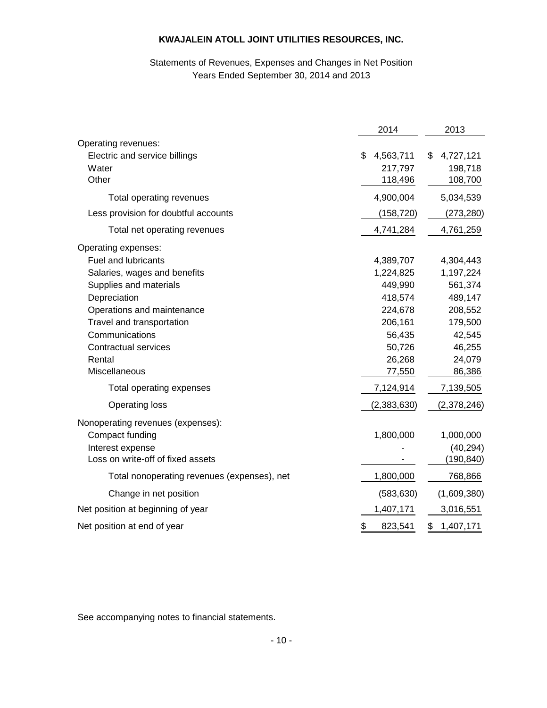# Statements of Revenues, Expenses and Changes in Net Position Years Ended September 30, 2014 and 2013

|                                             | 2014            | 2013            |
|---------------------------------------------|-----------------|-----------------|
| Operating revenues:                         |                 |                 |
| Electric and service billings               | \$<br>4,563,711 | \$<br>4,727,121 |
| Water                                       | 217,797         | 198,718         |
| Other                                       | 118,496         | 108,700         |
| Total operating revenues                    | 4,900,004       | 5,034,539       |
| Less provision for doubtful accounts        | (158, 720)      | (273, 280)      |
| Total net operating revenues                | 4,741,284       | 4,761,259       |
| Operating expenses:                         |                 |                 |
| <b>Fuel and lubricants</b>                  | 4,389,707       | 4,304,443       |
| Salaries, wages and benefits                | 1,224,825       | 1,197,224       |
| Supplies and materials                      | 449,990         | 561,374         |
| Depreciation                                | 418,574         | 489,147         |
| Operations and maintenance                  | 224,678         | 208,552         |
| Travel and transportation                   | 206,161         | 179,500         |
| Communications                              | 56,435          | 42,545          |
| <b>Contractual services</b>                 | 50,726          | 46,255          |
| Rental                                      | 26,268          | 24,079          |
| Miscellaneous                               | 77,550          | 86,386          |
| Total operating expenses                    | 7,124,914       | 7,139,505       |
| <b>Operating loss</b>                       | (2,383,630)     | (2,378,246)     |
| Nonoperating revenues (expenses):           |                 |                 |
| Compact funding                             | 1,800,000       | 1,000,000       |
| Interest expense                            |                 | (40, 294)       |
| Loss on write-off of fixed assets           |                 | (190, 840)      |
| Total nonoperating revenues (expenses), net | 1,800,000       | 768,866         |
| Change in net position                      | (583, 630)      | (1,609,380)     |
| Net position at beginning of year           | 1,407,171       | 3,016,551       |
| Net position at end of year                 | \$<br>823,541   | \$<br>1,407,171 |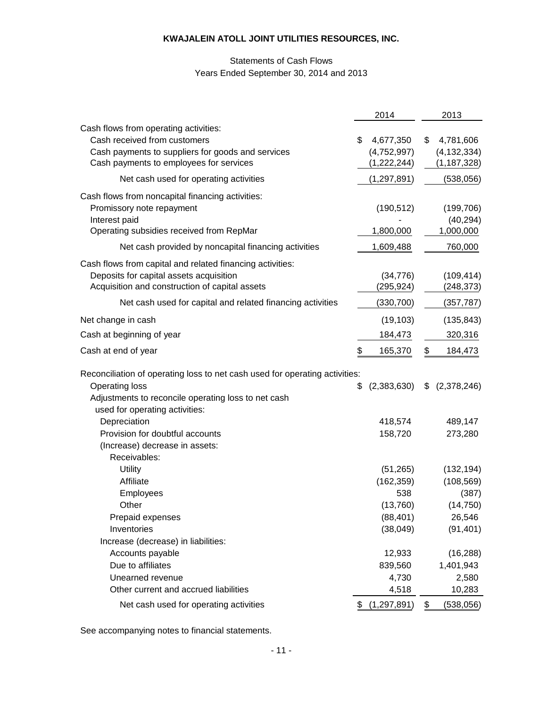# Statements of Cash Flows Years Ended September 30, 2014 and 2013

|                                                                                                                                                                                                                      | 2014                                            | 2013                                              |
|----------------------------------------------------------------------------------------------------------------------------------------------------------------------------------------------------------------------|-------------------------------------------------|---------------------------------------------------|
| Cash flows from operating activities:<br>Cash received from customers<br>Cash payments to suppliers for goods and services<br>Cash payments to employees for services                                                | \$<br>4,677,350<br>(4,752,997)<br>(1, 222, 244) | \$<br>4,781,606<br>(4, 132, 334)<br>(1, 187, 328) |
| Net cash used for operating activities                                                                                                                                                                               | (1, 297, 891)                                   | (538,056)                                         |
| Cash flows from noncapital financing activities:<br>Promissory note repayment<br>Interest paid<br>Operating subsidies received from RepMar                                                                           | (190, 512)<br>1,800,000                         | (199, 706)<br>(40, 294)<br>1,000,000              |
| Net cash provided by noncapital financing activities                                                                                                                                                                 | 1,609,488                                       | 760,000                                           |
| Cash flows from capital and related financing activities:<br>Deposits for capital assets acquisition<br>Acquisition and construction of capital assets<br>Net cash used for capital and related financing activities | (34, 776)<br>(295, 924)<br>(330, 700)           | (109, 414)<br>(248, 373)<br>(357, 787)            |
| Net change in cash                                                                                                                                                                                                   | (19, 103)                                       | (135, 843)                                        |
| Cash at beginning of year                                                                                                                                                                                            | 184,473                                         | 320,316                                           |
| Cash at end of year                                                                                                                                                                                                  | \$<br>165,370                                   | \$<br>184,473                                     |
| Reconciliation of operating loss to net cash used for operating activities:<br><b>Operating loss</b><br>Adjustments to reconcile operating loss to net cash<br>used for operating activities:                        | \$<br>(2,383,630)                               | \$<br>(2,378,246)                                 |
| Depreciation                                                                                                                                                                                                         | 418,574                                         | 489,147                                           |
| Provision for doubtful accounts<br>(Increase) decrease in assets:<br>Receivables:                                                                                                                                    | 158,720                                         | 273,280                                           |
| <b>Utility</b>                                                                                                                                                                                                       | (51, 265)                                       | (132, 194)                                        |
| Affiliate                                                                                                                                                                                                            | (162, 359)                                      | (108, 569)                                        |
| Employees                                                                                                                                                                                                            | 538                                             | (387)                                             |
| Other                                                                                                                                                                                                                | (13,760)                                        | (14, 750)                                         |
| Prepaid expenses<br>Inventories                                                                                                                                                                                      | (88, 401)<br>(38,049)                           | 26,546<br>(91, 401)                               |
| Increase (decrease) in liabilities:                                                                                                                                                                                  |                                                 |                                                   |
| Accounts payable                                                                                                                                                                                                     | 12,933                                          | (16, 288)                                         |
| Due to affiliates                                                                                                                                                                                                    | 839,560                                         | 1,401,943                                         |
| Unearned revenue                                                                                                                                                                                                     | 4,730                                           | 2,580                                             |
| Other current and accrued liabilities                                                                                                                                                                                | 4,518                                           | 10,283                                            |
| Net cash used for operating activities                                                                                                                                                                               | (1, 297, 891)<br>\$                             | $\overline{\mathcal{F}}$<br>(538,056)             |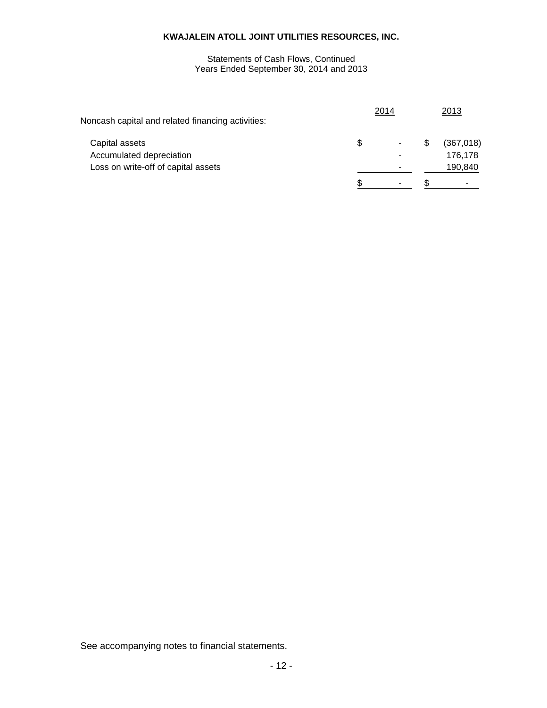#### Years Ended September 30, 2014 and 2013 Statements of Cash Flows, Continued

|    |   |      | 2013      |
|----|---|------|-----------|
| \$ | ٠ | S    | (367,018) |
|    |   |      | 176.178   |
|    |   |      | 190,840   |
| S. | - |      |           |
|    |   | 2014 |           |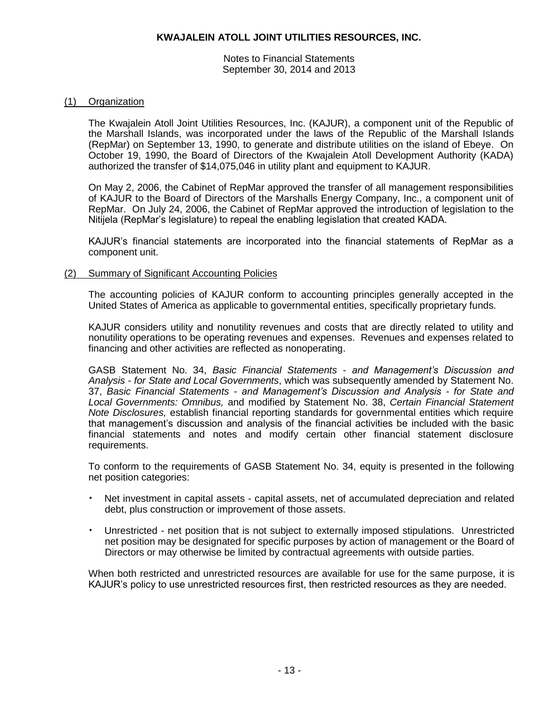Notes to Financial Statements September 30, 2014 and 2013

#### (1) Organization

The Kwajalein Atoll Joint Utilities Resources, Inc. (KAJUR), a component unit of the Republic of the Marshall Islands, was incorporated under the laws of the Republic of the Marshall Islands (RepMar) on September 13, 1990, to generate and distribute utilities on the island of Ebeye. On October 19, 1990, the Board of Directors of the Kwajalein Atoll Development Authority (KADA) authorized the transfer of \$14,075,046 in utility plant and equipment to KAJUR.

On May 2, 2006, the Cabinet of RepMar approved the transfer of all management responsibilities of KAJUR to the Board of Directors of the Marshalls Energy Company, Inc., a component unit of RepMar. On July 24, 2006, the Cabinet of RepMar approved the introduction of legislation to the Nitijela (RepMar's legislature) to repeal the enabling legislation that created KADA.

KAJUR's financial statements are incorporated into the financial statements of RepMar as a component unit.

#### (2) Summary of Significant Accounting Policies

The accounting policies of KAJUR conform to accounting principles generally accepted in the United States of America as applicable to governmental entities, specifically proprietary funds.

KAJUR considers utility and nonutility revenues and costs that are directly related to utility and nonutility operations to be operating revenues and expenses. Revenues and expenses related to financing and other activities are reflected as nonoperating.

GASB Statement No. 34, *Basic Financial Statements - and Management's Discussion and Analysis - for State and Local Governments*, which was subsequently amended by Statement No. 37, *Basic Financial Statements - and Management's Discussion and Analysis - for State and Local Governments: Omnibus,* and modified by Statement No. 38, *Certain Financial Statement Note Disclosures,* establish financial reporting standards for governmental entities which require that management's discussion and analysis of the financial activities be included with the basic financial statements and notes and modify certain other financial statement disclosure requirements.

To conform to the requirements of GASB Statement No. 34, equity is presented in the following net position categories:

- Net investment in capital assets capital assets, net of accumulated depreciation and related debt, plus construction or improvement of those assets.
- Unrestricted net position that is not subject to externally imposed stipulations. Unrestricted net position may be designated for specific purposes by action of management or the Board of Directors or may otherwise be limited by contractual agreements with outside parties.

When both restricted and unrestricted resources are available for use for the same purpose, it is KAJUR's policy to use unrestricted resources first, then restricted resources as they are needed.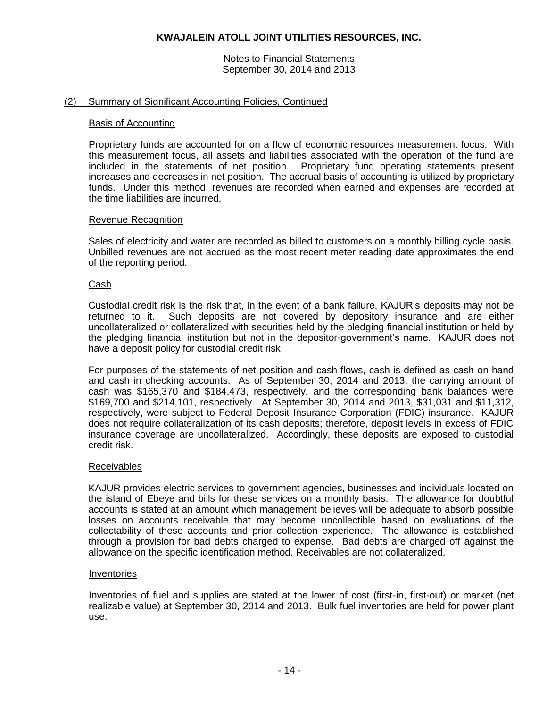Notes to Financial Statements September 30, 2014 and 2013

### (2) Summary of Significant Accounting Policies, Continued

#### Basis of Accounting

Proprietary funds are accounted for on a flow of economic resources measurement focus. With this measurement focus, all assets and liabilities associated with the operation of the fund are included in the statements of net position. Proprietary fund operating statements present increases and decreases in net position. The accrual basis of accounting is utilized by proprietary funds. Under this method, revenues are recorded when earned and expenses are recorded at the time liabilities are incurred.

#### Revenue Recognition

Sales of electricity and water are recorded as billed to customers on a monthly billing cycle basis. Unbilled revenues are not accrued as the most recent meter reading date approximates the end of the reporting period.

#### Cash

Custodial credit risk is the risk that, in the event of a bank failure, KAJUR's deposits may not be returned to it. Such deposits are not covered by depository insurance and are either uncollateralized or collateralized with securities held by the pledging financial institution or held by the pledging financial institution but not in the depositor-government's name. KAJUR does not have a deposit policy for custodial credit risk.

For purposes of the statements of net position and cash flows, cash is defined as cash on hand and cash in checking accounts. As of September 30, 2014 and 2013, the carrying amount of cash was \$165,370 and \$184,473, respectively, and the corresponding bank balances were \$169,700 and \$214,101, respectively. At September 30, 2014 and 2013, \$31,031 and \$11,312, respectively, were subject to Federal Deposit Insurance Corporation (FDIC) insurance. KAJUR does not require collateralization of its cash deposits; therefore, deposit levels in excess of FDIC insurance coverage are uncollateralized. Accordingly, these deposits are exposed to custodial credit risk.

### Receivables

KAJUR provides electric services to government agencies, businesses and individuals located on the island of Ebeye and bills for these services on a monthly basis. The allowance for doubtful accounts is stated at an amount which management believes will be adequate to absorb possible losses on accounts receivable that may become uncollectible based on evaluations of the collectability of these accounts and prior collection experience. The allowance is established through a provision for bad debts charged to expense. Bad debts are charged off against the allowance on the specific identification method. Receivables are not collateralized.

#### **Inventories**

Inventories of fuel and supplies are stated at the lower of cost (first-in, first-out) or market (net realizable value) at September 30, 2014 and 2013. Bulk fuel inventories are held for power plant use.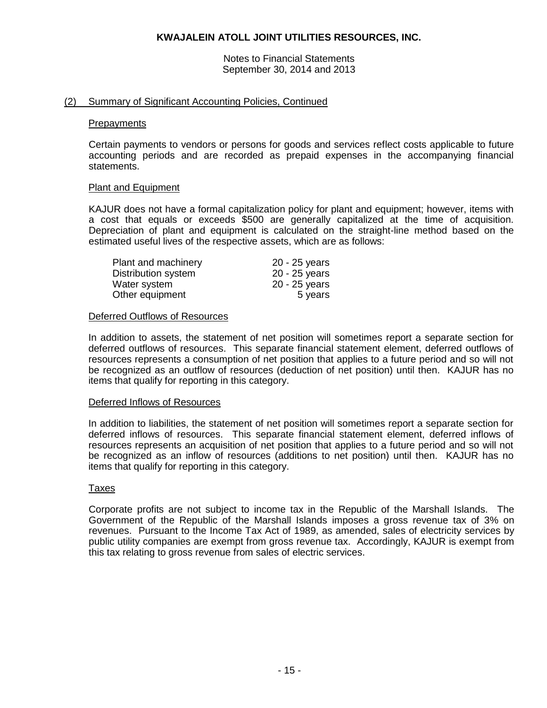Notes to Financial Statements September 30, 2014 and 2013

#### (2) Summary of Significant Accounting Policies, Continued

#### **Prepayments**

Certain payments to vendors or persons for goods and services reflect costs applicable to future accounting periods and are recorded as prepaid expenses in the accompanying financial statements.

#### Plant and Equipment

KAJUR does not have a formal capitalization policy for plant and equipment; however, items with a cost that equals or exceeds \$500 are generally capitalized at the time of acquisition. Depreciation of plant and equipment is calculated on the straight-line method based on the estimated useful lives of the respective assets, which are as follows:

| Plant and machinery | 20 - 25 years |
|---------------------|---------------|
| Distribution system | 20 - 25 years |
| Water system        | 20 - 25 years |
| Other equipment     | 5 years       |

#### Deferred Outflows of Resources

In addition to assets, the statement of net position will sometimes report a separate section for deferred outflows of resources. This separate financial statement element, deferred outflows of resources represents a consumption of net position that applies to a future period and so will not be recognized as an outflow of resources (deduction of net position) until then. KAJUR has no items that qualify for reporting in this category.

#### Deferred Inflows of Resources

In addition to liabilities, the statement of net position will sometimes report a separate section for deferred inflows of resources. This separate financial statement element, deferred inflows of resources represents an acquisition of net position that applies to a future period and so will not be recognized as an inflow of resources (additions to net position) until then. KAJUR has no items that qualify for reporting in this category.

#### Taxes

Corporate profits are not subject to income tax in the Republic of the Marshall Islands. The Government of the Republic of the Marshall Islands imposes a gross revenue tax of 3% on revenues. Pursuant to the Income Tax Act of 1989, as amended, sales of electricity services by public utility companies are exempt from gross revenue tax. Accordingly, KAJUR is exempt from this tax relating to gross revenue from sales of electric services.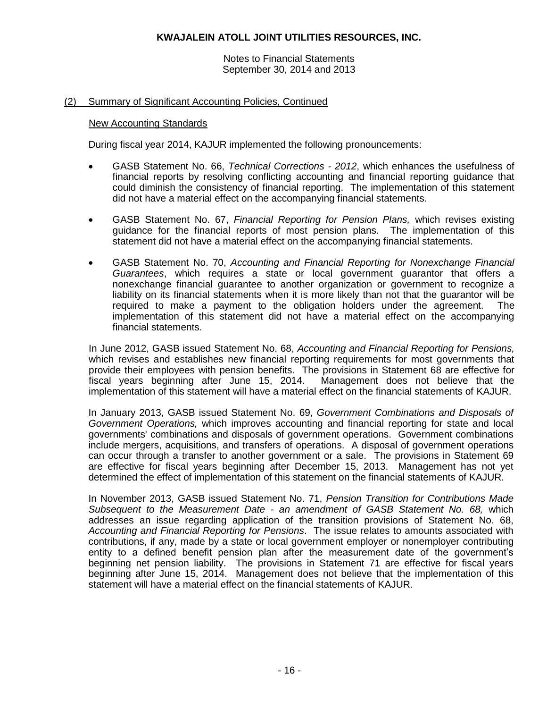Notes to Financial Statements September 30, 2014 and 2013

## (2) Summary of Significant Accounting Policies, Continued

#### New Accounting Standards

During fiscal year 2014, KAJUR implemented the following pronouncements:

- GASB Statement No. 66, *Technical Corrections - 2012*, which enhances the usefulness of financial reports by resolving conflicting accounting and financial reporting guidance that could diminish the consistency of financial reporting. The implementation of this statement did not have a material effect on the accompanying financial statements.
- GASB Statement No. 67, *Financial Reporting for Pension Plans,* which revises existing guidance for the financial reports of most pension plans. The implementation of this statement did not have a material effect on the accompanying financial statements.
- GASB Statement No. 70, *Accounting and Financial Reporting for Nonexchange Financial Guarantees*, which requires a state or local government guarantor that offers a nonexchange financial guarantee to another organization or government to recognize a liability on its financial statements when it is more likely than not that the guarantor will be required to make a payment to the obligation holders under the agreement. The implementation of this statement did not have a material effect on the accompanying financial statements.

In June 2012, GASB issued Statement No. 68, *Accounting and Financial Reporting for Pensions,*  which revises and establishes new financial reporting requirements for most governments that provide their employees with pension benefits. The provisions in Statement 68 are effective for fiscal years beginning after June 15, 2014. Management does not believe that the implementation of this statement will have a material effect on the financial statements of KAJUR.

In January 2013, GASB issued Statement No. 69, *Government Combinations and Disposals of Government Operations,* which improves accounting and financial reporting for state and local governments' combinations and disposals of government operations. Government combinations include mergers, acquisitions, and transfers of operations. A disposal of government operations can occur through a transfer to another government or a sale. The provisions in Statement 69 are effective for fiscal years beginning after December 15, 2013. Management has not yet determined the effect of implementation of this statement on the financial statements of KAJUR.

In November 2013, GASB issued Statement No. 71, *Pension Transition for Contributions Made Subsequent to the Measurement Date - an amendment of GASB Statement No. 68,* which addresses an issue regarding application of the transition provisions of Statement No. 68, *Accounting and Financial Reporting for Pensions*. The issue relates to amounts associated with contributions, if any, made by a state or local government employer or nonemployer contributing entity to a defined benefit pension plan after the measurement date of the government's beginning net pension liability. The provisions in Statement 71 are effective for fiscal years beginning after June 15, 2014. Management does not believe that the implementation of this statement will have a material effect on the financial statements of KAJUR.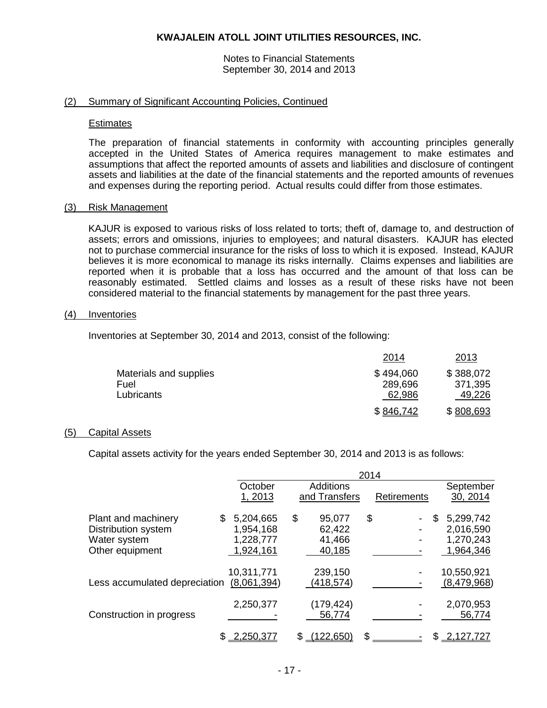#### Notes to Financial Statements September 30, 2014 and 2013

### (2) Summary of Significant Accounting Policies, Continued

#### **Estimates**

The preparation of financial statements in conformity with accounting principles generally accepted in the United States of America requires management to make estimates and assumptions that affect the reported amounts of assets and liabilities and disclosure of contingent assets and liabilities at the date of the financial statements and the reported amounts of revenues and expenses during the reporting period. Actual results could differ from those estimates.

#### (3) Risk Management

KAJUR is exposed to various risks of loss related to torts; theft of, damage to, and destruction of assets; errors and omissions, injuries to employees; and natural disasters. KAJUR has elected not to purchase commercial insurance for the risks of loss to which it is exposed. Instead, KAJUR believes it is more economical to manage its risks internally. Claims expenses and liabilities are reported when it is probable that a loss has occurred and the amount of that loss can be reasonably estimated. Settled claims and losses as a result of these risks have not been considered material to the financial statements by management for the past three years.

#### (4) Inventories

Inventories at September 30, 2014 and 2013, consist of the following:

|                        | 2014      | 2013      |
|------------------------|-----------|-----------|
| Materials and supplies | \$494,060 | \$388,072 |
| Fuel                   | 289,696   | 371,395   |
| Lubricants             | 62,986    | 49,226    |
|                        | \$846,742 | \$808,693 |

#### (5) Capital Assets

Capital assets activity for the years ended September 30, 2014 and 2013 is as follows:

|                               |                  |                  | 2014               |             |
|-------------------------------|------------------|------------------|--------------------|-------------|
|                               | October          | <b>Additions</b> |                    | September   |
|                               | 1,2013           | and Transfers    | <b>Retirements</b> | 30, 2014    |
| Plant and machinery           | 5,204,665<br>\$. | \$<br>95,077     | \$<br>\$           | 5,299,742   |
| Distribution system           | 1,954,168        | 62,422           |                    | 2,016,590   |
| Water system                  | 1,228,777        | 41,466           |                    | 1,270,243   |
| Other equipment               | 1,924,161        | 40,185           |                    | 1,964,346   |
|                               |                  |                  |                    |             |
|                               | 10,311,771       | 239,150          |                    | 10,550,921  |
| Less accumulated depreciation | (8,061,394)      | (418, 574)       |                    | (8,479,968) |
|                               |                  |                  |                    |             |
|                               | 2,250,377        | (179,424)        |                    | 2,070,953   |
| Construction in progress      |                  | 56,774           |                    | 56,774      |
|                               |                  |                  |                    |             |
|                               | 2,250,377        | 22,650           | \$<br>S            | 2,127,727   |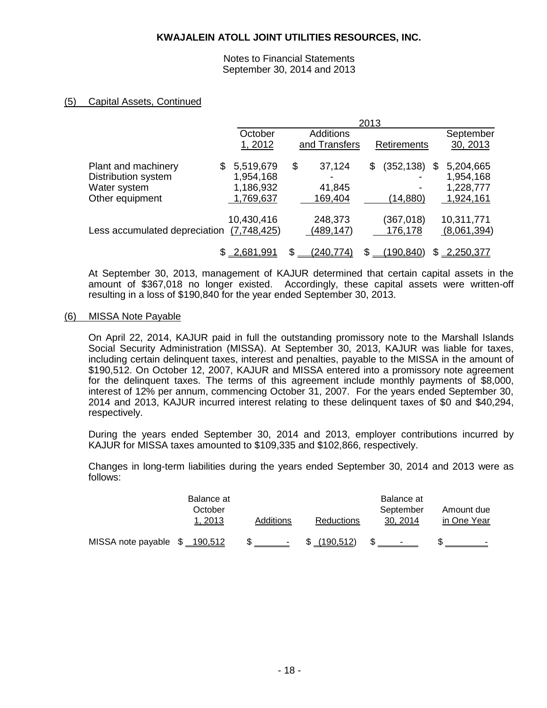Notes to Financial Statements September 30, 2014 and 2013

### (5) Capital Assets, Continued

|                                                                                     |                                                  |     |                                   | 2013 |                         |                                                        |
|-------------------------------------------------------------------------------------|--------------------------------------------------|-----|-----------------------------------|------|-------------------------|--------------------------------------------------------|
|                                                                                     | October<br>1, 2012                               |     | <b>Additions</b><br>and Transfers |      | <b>Retirements</b>      | September<br>30, 2013                                  |
| Plant and machinery<br>\$<br>Distribution system<br>Water system<br>Other equipment | 5,519,679<br>1,954,168<br>1,186,932<br>1,769,637 | \$  | 37,124<br>41,845<br>169,404       | \$   | (352, 138)<br>(14, 880) | \$<br>5,204,665<br>1,954,168<br>1,228,777<br>1,924,161 |
| Less accumulated depreciation                                                       | 10,430,416<br>(7,748,425)                        |     | 248,373<br>(489, 147)             |      | (367, 018)<br>176,178   | 10,311,771<br>(8,061,394)                              |
|                                                                                     | 2,681,991                                        | \$. | (240,774)                         |      | 190,840                 | 2,250,377                                              |

At September 30, 2013, management of KAJUR determined that certain capital assets in the amount of \$367,018 no longer existed. Accordingly, these capital assets were written-off resulting in a loss of \$190,840 for the year ended September 30, 2013.

#### (6) MISSA Note Payable

On April 22, 2014, KAJUR paid in full the outstanding promissory note to the Marshall Islands Social Security Administration (MISSA). At September 30, 2013, KAJUR was liable for taxes, including certain delinquent taxes, interest and penalties, payable to the MISSA in the amount of \$190,512. On October 12, 2007, KAJUR and MISSA entered into a promissory note agreement for the delinquent taxes. The terms of this agreement include monthly payments of \$8,000, interest of 12% per annum, commencing October 31, 2007. For the years ended September 30, 2014 and 2013, KAJUR incurred interest relating to these delinquent taxes of \$0 and \$40,294, respectively.

During the years ended September 30, 2014 and 2013, employer contributions incurred by KAJUR for MISSA taxes amounted to \$109,335 and \$102,866, respectively.

Changes in long-term liabilities during the years ended September 30, 2014 and 2013 were as follows:

| Balance at<br>October<br>1.2013 | Additions      | Reductions  | Balance at<br>September<br>30.2014 | Amount due<br>in One Year |
|---------------------------------|----------------|-------------|------------------------------------|---------------------------|
| MISSA note payable \$ 190,512   | $\mathbb{S}$ - | \$(190,512) | $s -$                              |                           |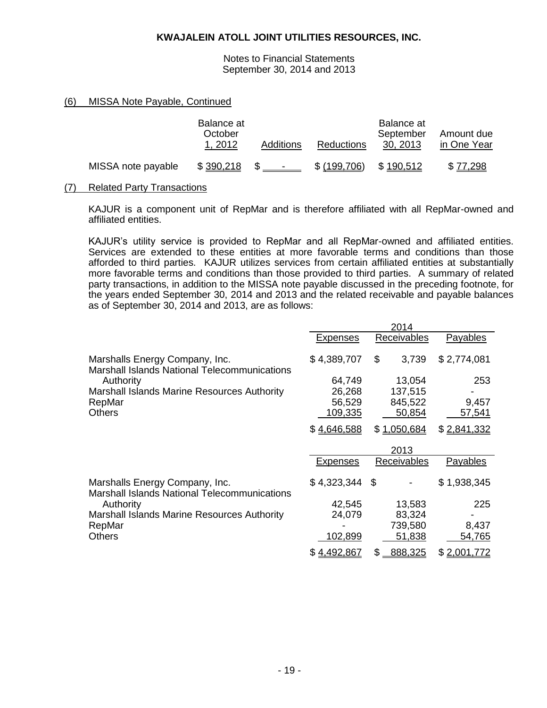Notes to Financial Statements September 30, 2014 and 2013

## (6) MISSA Note Payable, Continued

|                    | Balance at<br>October<br>1.2012 | Additions                   | Reductions    | Balance at<br>September<br>30, 2013 | Amount due<br>in One Year |
|--------------------|---------------------------------|-----------------------------|---------------|-------------------------------------|---------------------------|
| MISSA note payable | \$390,218                       | $\frac{1}{2}$ $\frac{1}{2}$ | \$ (199, 706) | \$190,512                           | \$77,298                  |

# (7) Related Party Transactions

KAJUR is a component unit of RepMar and is therefore affiliated with all RepMar-owned and affiliated entities.

KAJUR's utility service is provided to RepMar and all RepMar-owned and affiliated entities. Services are extended to these entities at more favorable terms and conditions than those afforded to third parties. KAJUR utilizes services from certain affiliated entities at substantially more favorable terms and conditions than those provided to third parties. A summary of related party transactions, in addition to the MISSA note payable discussed in the preceding footnote, for the years ended September 30, 2014 and 2013 and the related receivable and payable balances as of September 30, 2014 and 2013, are as follows:

|                                                                                       | 2014             |             |             |
|---------------------------------------------------------------------------------------|------------------|-------------|-------------|
|                                                                                       | <b>Expenses</b>  | Receivables | Payables    |
| Marshalls Energy Company, Inc.<br><b>Marshall Islands National Telecommunications</b> | \$4,389,707      | \$<br>3,739 | \$2,774,081 |
| Authority                                                                             | 64,749           | 13,054      | 253         |
| Marshall Islands Marine Resources Authority                                           | 26,268           | 137,515     |             |
| RepMar                                                                                | 56,529           | 845,522     | 9,457       |
| <b>Others</b>                                                                         | 109,335          | 50,854      | 57,541      |
|                                                                                       | \$4.646,588      | \$1,050,684 | \$2,841,332 |
|                                                                                       |                  | 2013        |             |
|                                                                                       | <b>Expenses</b>  | Receivables | Payables    |
| Marshalls Energy Company, Inc.<br><b>Marshall Islands National Telecommunications</b> | $$4,323,344$ \\$ |             | \$1,938,345 |
| Authority                                                                             | 42,545           | 13,583      | 225         |
| Marshall Islands Marine Resources Authority                                           | 24,079           | 83,324      |             |
| RepMar                                                                                |                  | 739,580     | 8,437       |
| Others                                                                                | 102,899          | 51,838      | 54,765      |
|                                                                                       |                  |             |             |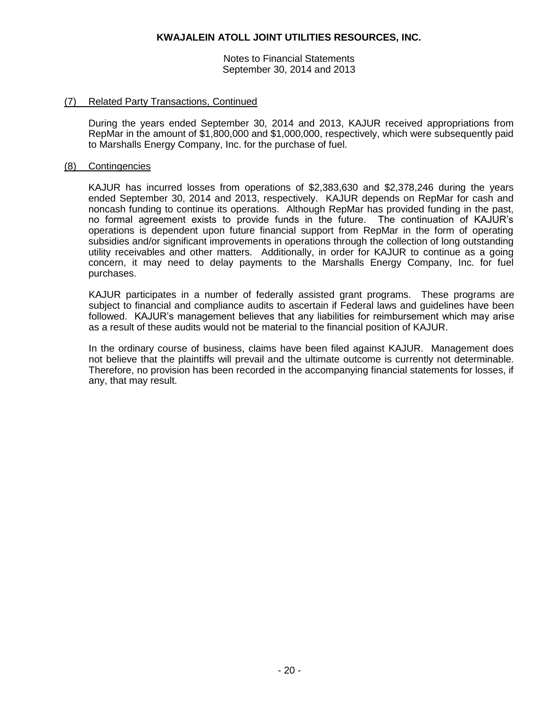Notes to Financial Statements September 30, 2014 and 2013

#### (7) Related Party Transactions, Continued

During the years ended September 30, 2014 and 2013, KAJUR received appropriations from RepMar in the amount of \$1,800,000 and \$1,000,000, respectively, which were subsequently paid to Marshalls Energy Company, Inc. for the purchase of fuel.

#### (8) Contingencies

KAJUR has incurred losses from operations of \$2,383,630 and \$2,378,246 during the years ended September 30, 2014 and 2013, respectively. KAJUR depends on RepMar for cash and noncash funding to continue its operations. Although RepMar has provided funding in the past, no formal agreement exists to provide funds in the future. The continuation of KAJUR's operations is dependent upon future financial support from RepMar in the form of operating subsidies and/or significant improvements in operations through the collection of long outstanding utility receivables and other matters. Additionally, in order for KAJUR to continue as a going concern, it may need to delay payments to the Marshalls Energy Company, Inc. for fuel purchases.

KAJUR participates in a number of federally assisted grant programs. These programs are subject to financial and compliance audits to ascertain if Federal laws and guidelines have been followed. KAJUR's management believes that any liabilities for reimbursement which may arise as a result of these audits would not be material to the financial position of KAJUR.

In the ordinary course of business, claims have been filed against KAJUR. Management does not believe that the plaintiffs will prevail and the ultimate outcome is currently not determinable. Therefore, no provision has been recorded in the accompanying financial statements for losses, if any, that may result.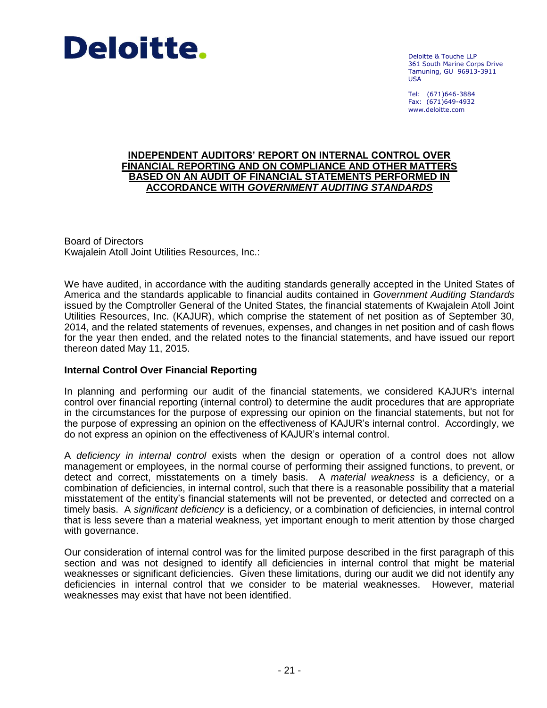

Deloitte & Touche LLP 361 South Marine Corps Drive Tamuning, GU 96913-3911 USA

Tel: (671)646-3884 Fax: (671)649-4932 www.deloitte.com

#### **INDEPENDENT AUDITORS' REPORT ON INTERNAL CONTROL OVER FINANCIAL REPORTING AND ON COMPLIANCE AND OTHER MATTERS BASED ON AN AUDIT OF FINANCIAL STATEMENTS PERFORMED IN ACCORDANCE WITH** *GOVERNMENT AUDITING STANDARDS*

Board of Directors Kwajalein Atoll Joint Utilities Resources, Inc.:

We have audited, in accordance with the auditing standards generally accepted in the United States of America and the standards applicable to financial audits contained in *Government Auditing Standards*  issued by the Comptroller General of the United States, the financial statements of Kwajalein Atoll Joint Utilities Resources, Inc. (KAJUR), which comprise the statement of net position as of September 30, 2014, and the related statements of revenues, expenses, and changes in net position and of cash flows for the year then ended, and the related notes to the financial statements, and have issued our report thereon dated May 11, 2015.

### **Internal Control Over Financial Reporting**

In planning and performing our audit of the financial statements, we considered KAJUR's internal control over financial reporting (internal control) to determine the audit procedures that are appropriate in the circumstances for the purpose of expressing our opinion on the financial statements, but not for the purpose of expressing an opinion on the effectiveness of KAJUR's internal control. Accordingly, we do not express an opinion on the effectiveness of KAJUR's internal control.

A *deficiency in internal control* exists when the design or operation of a control does not allow management or employees, in the normal course of performing their assigned functions, to prevent, or detect and correct, misstatements on a timely basis. A *material weakness* is a deficiency, or a combination of deficiencies, in internal control, such that there is a reasonable possibility that a material misstatement of the entity's financial statements will not be prevented, or detected and corrected on a timely basis. A *significant deficiency* is a deficiency, or a combination of deficiencies, in internal control that is less severe than a material weakness, yet important enough to merit attention by those charged with governance.

Our consideration of internal control was for the limited purpose described in the first paragraph of this section and was not designed to identify all deficiencies in internal control that might be material weaknesses or significant deficiencies. Given these limitations, during our audit we did not identify any deficiencies in internal control that we consider to be material weaknesses. However, material weaknesses may exist that have not been identified.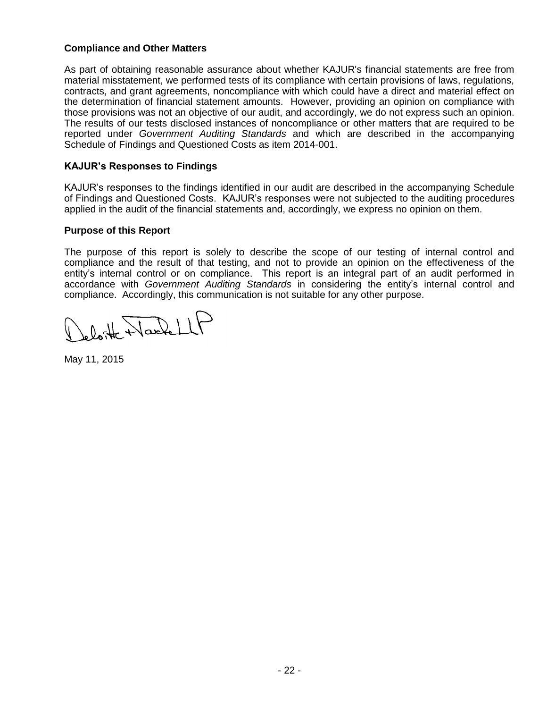## **Compliance and Other Matters**

As part of obtaining reasonable assurance about whether KAJUR's financial statements are free from material misstatement, we performed tests of its compliance with certain provisions of laws, regulations, contracts, and grant agreements, noncompliance with which could have a direct and material effect on the determination of financial statement amounts. However, providing an opinion on compliance with those provisions was not an objective of our audit, and accordingly, we do not express such an opinion. The results of our tests disclosed instances of noncompliance or other matters that are required to be reported under *Government Auditing Standards* and which are described in the accompanying Schedule of Findings and Questioned Costs as item 2014-001.

## **KAJUR's Responses to Findings**

KAJUR's responses to the findings identified in our audit are described in the accompanying Schedule of Findings and Questioned Costs. KAJUR's responses were not subjected to the auditing procedures applied in the audit of the financial statements and, accordingly, we express no opinion on them.

### **Purpose of this Report**

The purpose of this report is solely to describe the scope of our testing of internal control and compliance and the result of that testing, and not to provide an opinion on the effectiveness of the entity's internal control or on compliance. This report is an integral part of an audit performed in accordance with *Government Auditing Standards* in considering the entity's internal control and compliance. Accordingly, this communication is not suitable for any other purpose.

eloite Nachell

May 11, 2015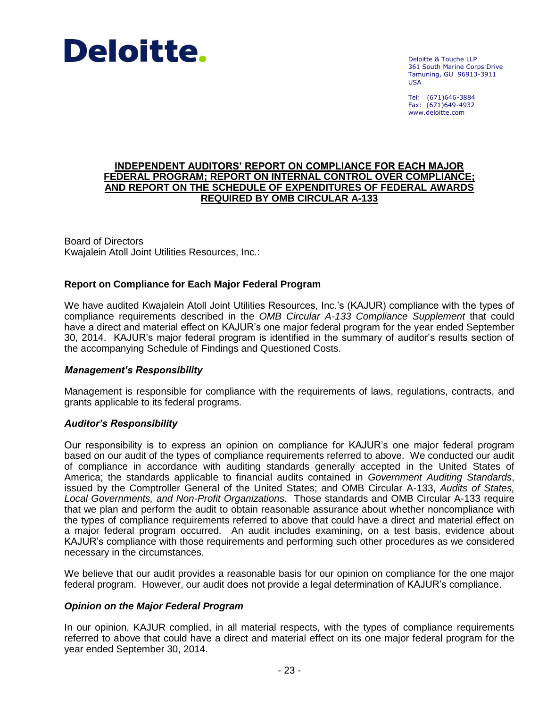

Deloitte & Touche LLP 361 South Marine Corps Drive Tamuning, GU 96913-3911 USA

Tel: (671)646-3884 Fax: (671)649-4932 www.deloitte.com

#### **INDEPENDENT AUDITORS' REPORT ON COMPLIANCE FOR EACH MAJOR FEDERAL PROGRAM; REPORT ON INTERNAL CONTROL OVER COMPLIANCE; AND REPORT ON THE SCHEDULE OF EXPENDITURES OF FEDERAL AWARDS REQUIRED BY OMB CIRCULAR A-133**

Board of Directors Kwajalein Atoll Joint Utilities Resources, Inc.:

### **Report on Compliance for Each Major Federal Program**

We have audited Kwajalein Atoll Joint Utilities Resources, Inc.'s (KAJUR) compliance with the types of compliance requirements described in the *OMB Circular A-133 Compliance Supplement* that could have a direct and material effect on KAJUR's one major federal program for the year ended September 30, 2014. KAJUR's major federal program is identified in the summary of auditor's results section of the accompanying Schedule of Findings and Questioned Costs.

### *Management's Responsibility*

Management is responsible for compliance with the requirements of laws, regulations, contracts, and grants applicable to its federal programs.

### *Auditor's Responsibility*

Our responsibility is to express an opinion on compliance for KAJUR's one major federal program based on our audit of the types of compliance requirements referred to above. We conducted our audit of compliance in accordance with auditing standards generally accepted in the United States of America; the standards applicable to financial audits contained in *Government Auditing Standards*, issued by the Comptroller General of the United States; and OMB Circular A-133, *Audits of States, Local Governments, and Non-Profit Organizations*. Those standards and OMB Circular A-133 require that we plan and perform the audit to obtain reasonable assurance about whether noncompliance with the types of compliance requirements referred to above that could have a direct and material effect on a major federal program occurred. An audit includes examining, on a test basis, evidence about KAJUR's compliance with those requirements and performing such other procedures as we considered necessary in the circumstances.

We believe that our audit provides a reasonable basis for our opinion on compliance for the one major federal program. However, our audit does not provide a legal determination of KAJUR's compliance.

#### *Opinion on the Major Federal Program*

In our opinion, KAJUR complied, in all material respects, with the types of compliance requirements referred to above that could have a direct and material effect on its one major federal program for the year ended September 30, 2014.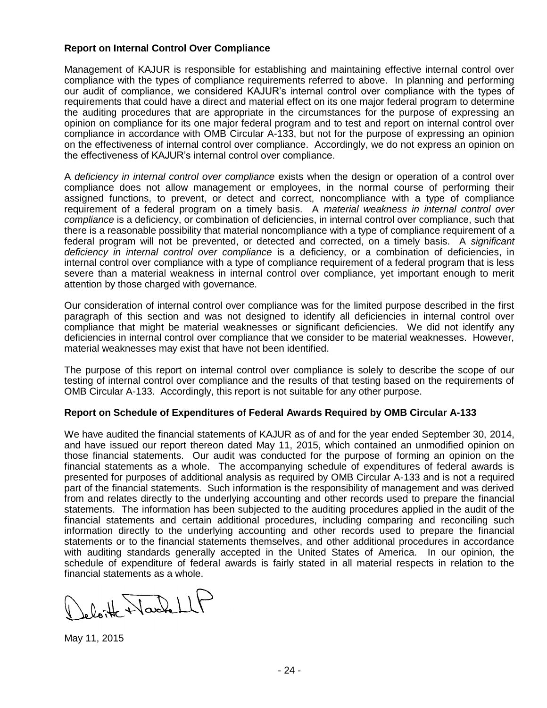## **Report on Internal Control Over Compliance**

Management of KAJUR is responsible for establishing and maintaining effective internal control over compliance with the types of compliance requirements referred to above. In planning and performing our audit of compliance, we considered KAJUR's internal control over compliance with the types of requirements that could have a direct and material effect on its one major federal program to determine the auditing procedures that are appropriate in the circumstances for the purpose of expressing an opinion on compliance for its one major federal program and to test and report on internal control over compliance in accordance with OMB Circular A-133, but not for the purpose of expressing an opinion on the effectiveness of internal control over compliance. Accordingly, we do not express an opinion on the effectiveness of KAJUR's internal control over compliance.

A *deficiency in internal control over compliance* exists when the design or operation of a control over compliance does not allow management or employees, in the normal course of performing their assigned functions, to prevent, or detect and correct, noncompliance with a type of compliance requirement of a federal program on a timely basis. A *material weakness in internal control over compliance* is a deficiency, or combination of deficiencies, in internal control over compliance, such that there is a reasonable possibility that material noncompliance with a type of compliance requirement of a federal program will not be prevented, or detected and corrected, on a timely basis. A *significant deficiency in internal control over compliance* is a deficiency, or a combination of deficiencies, in internal control over compliance with a type of compliance requirement of a federal program that is less severe than a material weakness in internal control over compliance, yet important enough to merit attention by those charged with governance.

Our consideration of internal control over compliance was for the limited purpose described in the first paragraph of this section and was not designed to identify all deficiencies in internal control over compliance that might be material weaknesses or significant deficiencies. We did not identify any deficiencies in internal control over compliance that we consider to be material weaknesses. However, material weaknesses may exist that have not been identified.

The purpose of this report on internal control over compliance is solely to describe the scope of our testing of internal control over compliance and the results of that testing based on the requirements of OMB Circular A-133. Accordingly, this report is not suitable for any other purpose.

### **Report on Schedule of Expenditures of Federal Awards Required by OMB Circular A-133**

We have audited the financial statements of KAJUR as of and for the year ended September 30, 2014, and have issued our report thereon dated May 11, 2015, which contained an unmodified opinion on those financial statements. Our audit was conducted for the purpose of forming an opinion on the financial statements as a whole. The accompanying schedule of expenditures of federal awards is presented for purposes of additional analysis as required by OMB Circular A-133 and is not a required part of the financial statements. Such information is the responsibility of management and was derived from and relates directly to the underlying accounting and other records used to prepare the financial statements. The information has been subjected to the auditing procedures applied in the audit of the financial statements and certain additional procedures, including comparing and reconciling such information directly to the underlying accounting and other records used to prepare the financial statements or to the financial statements themselves, and other additional procedures in accordance with auditing standards generally accepted in the United States of America. In our opinion, the schedule of expenditure of federal awards is fairly stated in all material respects in relation to the financial statements as a whole.

eloite Nachell

May 11, 2015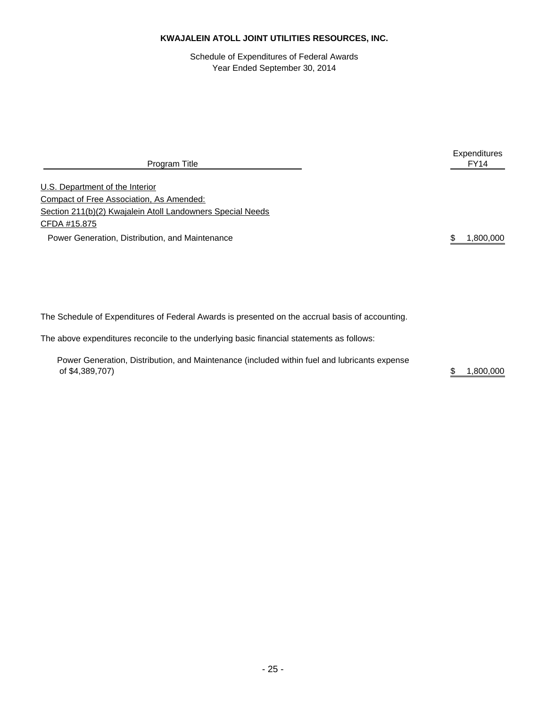Schedule of Expenditures of Federal Awards Year Ended September 30, 2014

Program Title FY14 U.S. Department of the Interior Compact of Free Association, As Amended: Section 211(b)(2) Kwajalein Atoll Landowners Special Needs CFDA #15.875 Power Generation, Distribution, and Maintenance **by the set of the set of the set of the S** 1,800,000 The Schedule of Expenditures of Federal Awards is presented on the accrual basis of accounting.

The above expenditures reconcile to the underlying basic financial statements as follows:

 Power Generation, Distribution, and Maintenance (included within fuel and lubricants expense of \$4,389,707) \$1,800,000

Expenditures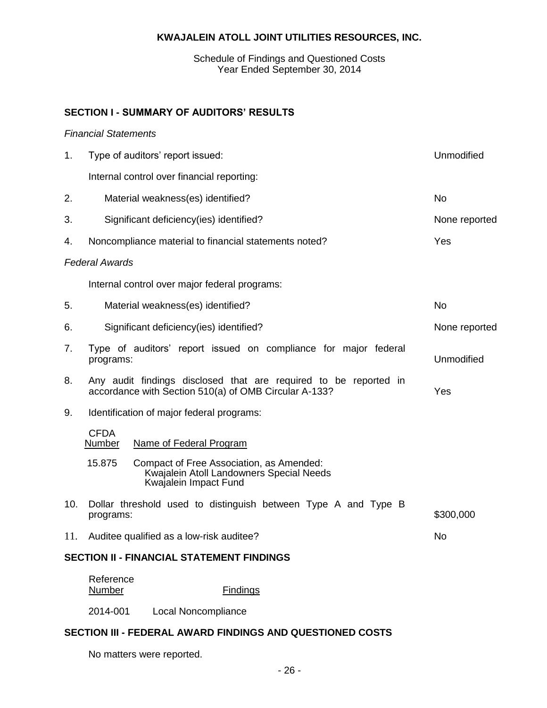Schedule of Findings and Questioned Costs Year Ended September 30, 2014

# **SECTION I - SUMMARY OF AUDITORS' RESULTS**

## *Financial Statements*

| 1.  | Type of auditors' report issued:                      | Unmodified                                                                           |               |
|-----|-------------------------------------------------------|--------------------------------------------------------------------------------------|---------------|
|     | Internal control over financial reporting:            |                                                                                      |               |
| 2.  | Material weakness(es) identified?                     | <b>No</b>                                                                            |               |
| 3.  | Significant deficiency(ies) identified?               |                                                                                      | None reported |
| 4.  | Noncompliance material to financial statements noted? |                                                                                      | Yes           |
|     | <b>Federal Awards</b>                                 |                                                                                      |               |
|     | Internal control over major federal programs:         |                                                                                      |               |
| 5.  | Material weakness(es) identified?                     |                                                                                      | <b>No</b>     |
| 6.  | Significant deficiency(ies) identified?               |                                                                                      | None reported |
| 7.  | programs:                                             | Type of auditors' report issued on compliance for major federal                      | Unmodified    |
| 8.  | accordance with Section 510(a) of OMB Circular A-133? | Any audit findings disclosed that are required to be reported in                     | Yes           |
| 9.  | Identification of major federal programs:             |                                                                                      |               |
|     | <b>CFDA</b><br>Number<br>Name of Federal Program      |                                                                                      |               |
|     | 15.875<br>Kwajalein Impact Fund                       | Compact of Free Association, as Amended:<br>Kwajalein Atoll Landowners Special Needs |               |
| 10. | programs:                                             | Dollar threshold used to distinguish between Type A and Type B                       | \$300,000     |
| 11. | Auditee qualified as a low-risk auditee?              |                                                                                      | <b>No</b>     |
|     | <b>SECTION II - FINANCIAL STATEMENT FINDINGS</b>      |                                                                                      |               |
|     | Reference<br>Number                                   | Findings                                                                             |               |

2014-001 Local Noncompliance

# **SECTION III - FEDERAL AWARD FINDINGS AND QUESTIONED COSTS**

No matters were reported.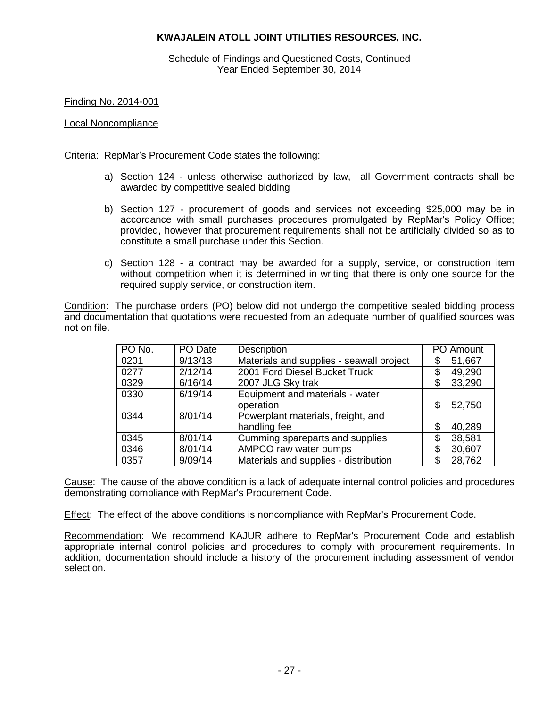Schedule of Findings and Questioned Costs, Continued Year Ended September 30, 2014

Finding No. 2014-001

#### Local Noncompliance

Criteria: RepMar's Procurement Code states the following:

- a) Section 124 unless otherwise authorized by law, all Government contracts shall be awarded by competitive sealed bidding
- b) Section 127 procurement of goods and services not exceeding \$25,000 may be in accordance with small purchases procedures promulgated by RepMar's Policy Office; provided, however that procurement requirements shall not be artificially divided so as to constitute a small purchase under this Section.
- c) Section 128 a contract may be awarded for a supply, service, or construction item without competition when it is determined in writing that there is only one source for the required supply service, or construction item.

Condition: The purchase orders (PO) below did not undergo the competitive sealed bidding process and documentation that quotations were requested from an adequate number of qualified sources was not on file.

| PO No. | PO Date          | <b>Description</b>                       | PO Amount    |
|--------|------------------|------------------------------------------|--------------|
| 0201   | 9/13/13          | Materials and supplies - seawall project | 51,667<br>S  |
| 0277   | 2/12/14          | 2001 Ford Diesel Bucket Truck            | 49,290<br>\$ |
| 0329   | 6/16/14          | 2007 JLG Sky trak                        | 33,290<br>\$ |
| 0330   | 6/19/14          | Equipment and materials - water          |              |
|        |                  | operation                                | 52,750<br>S  |
| 0344   | $\sqrt{8/01}/14$ | Powerplant materials, freight, and       |              |
|        |                  | handling fee                             | 40,289       |
| 0345   | 8/01/14          | Cumming spareparts and supplies          | 38,581<br>\$ |
| 0346   | 8/01/14          | AMPCO raw water pumps                    | 30,607       |
| 0357   | 9/09/14          | Materials and supplies - distribution    | 28,762<br>\$ |

Cause: The cause of the above condition is a lack of adequate internal control policies and procedures demonstrating compliance with RepMar's Procurement Code.

Effect: The effect of the above conditions is noncompliance with RepMar's Procurement Code.

Recommendation: We recommend KAJUR adhere to RepMar's Procurement Code and establish appropriate internal control policies and procedures to comply with procurement requirements. In addition, documentation should include a history of the procurement including assessment of vendor selection.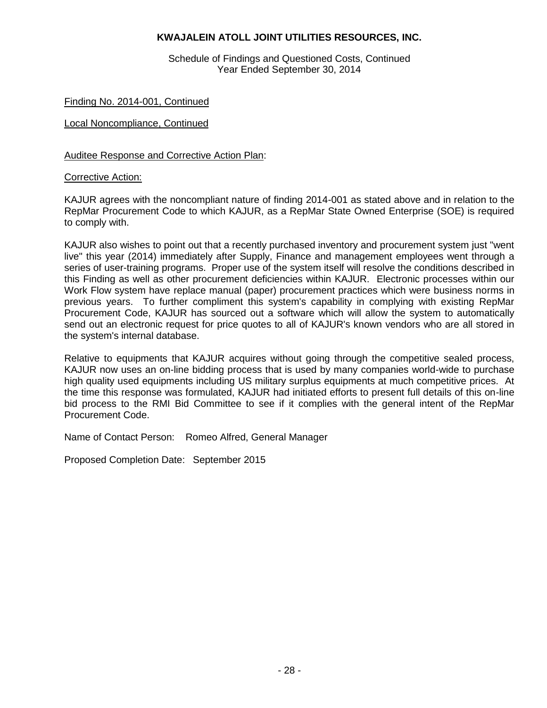Schedule of Findings and Questioned Costs, Continued Year Ended September 30, 2014

Finding No. 2014-001, Continued

Local Noncompliance, Continued

## Auditee Response and Corrective Action Plan:

## Corrective Action:

KAJUR agrees with the noncompliant nature of finding 2014-001 as stated above and in relation to the RepMar Procurement Code to which KAJUR, as a RepMar State Owned Enterprise (SOE) is required to comply with.

KAJUR also wishes to point out that a recently purchased inventory and procurement system just "went live" this year (2014) immediately after Supply, Finance and management employees went through a series of user-training programs. Proper use of the system itself will resolve the conditions described in this Finding as well as other procurement deficiencies within KAJUR. Electronic processes within our Work Flow system have replace manual (paper) procurement practices which were business norms in previous years. To further compliment this system's capability in complying with existing RepMar Procurement Code, KAJUR has sourced out a software which will allow the system to automatically send out an electronic request for price quotes to all of KAJUR's known vendors who are all stored in the system's internal database.

Relative to equipments that KAJUR acquires without going through the competitive sealed process, KAJUR now uses an on-line bidding process that is used by many companies world-wide to purchase high quality used equipments including US military surplus equipments at much competitive prices. At the time this response was formulated, KAJUR had initiated efforts to present full details of this on-line bid process to the RMI Bid Committee to see if it complies with the general intent of the RepMar Procurement Code.

Name of Contact Person:Romeo Alfred, General Manager

Proposed Completion Date: September 2015